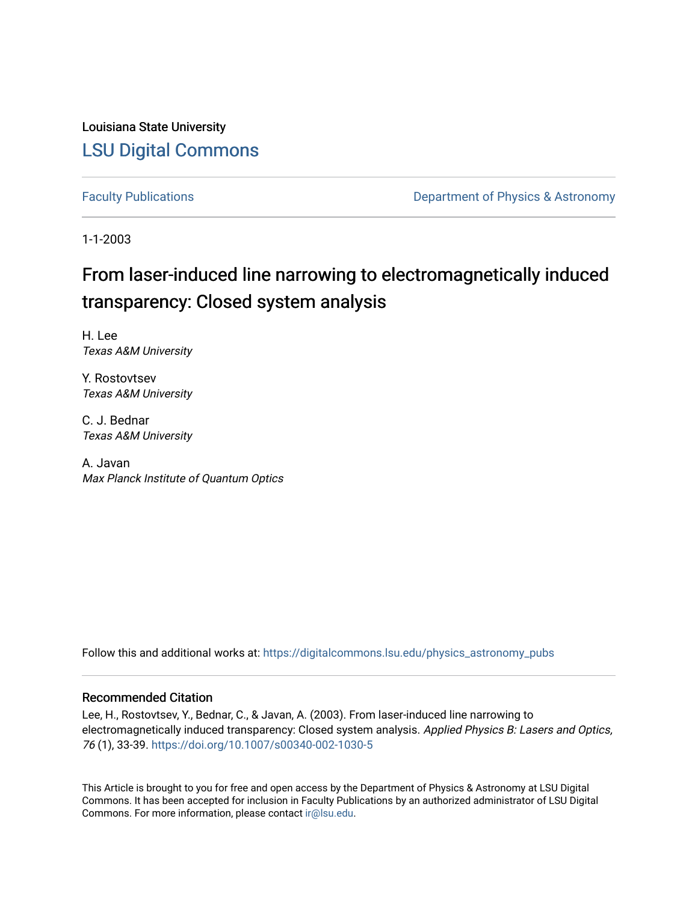Louisiana State University [LSU Digital Commons](https://digitalcommons.lsu.edu/)

[Faculty Publications](https://digitalcommons.lsu.edu/physics_astronomy_pubs) **Exercise 2 and Table 2 and Table 2 and Table 2 and Table 2 and Table 2 and Table 2 and Table 2 and Table 2 and Table 2 and Table 2 and Table 2 and Table 2 and Table 2 and Table 2 and Table 2 and Table** 

1-1-2003

# From laser-induced line narrowing to electromagnetically induced transparency: Closed system analysis

H. Lee Texas A&M University

Y. Rostovtsev Texas A&M University

C. J. Bednar Texas A&M University

A. Javan Max Planck Institute of Quantum Optics

Follow this and additional works at: [https://digitalcommons.lsu.edu/physics\\_astronomy\\_pubs](https://digitalcommons.lsu.edu/physics_astronomy_pubs?utm_source=digitalcommons.lsu.edu%2Fphysics_astronomy_pubs%2F3175&utm_medium=PDF&utm_campaign=PDFCoverPages) 

# Recommended Citation

Lee, H., Rostovtsev, Y., Bednar, C., & Javan, A. (2003). From laser-induced line narrowing to electromagnetically induced transparency: Closed system analysis. Applied Physics B: Lasers and Optics, 76 (1), 33-39. <https://doi.org/10.1007/s00340-002-1030-5>

This Article is brought to you for free and open access by the Department of Physics & Astronomy at LSU Digital Commons. It has been accepted for inclusion in Faculty Publications by an authorized administrator of LSU Digital Commons. For more information, please contact [ir@lsu.edu](mailto:ir@lsu.edu).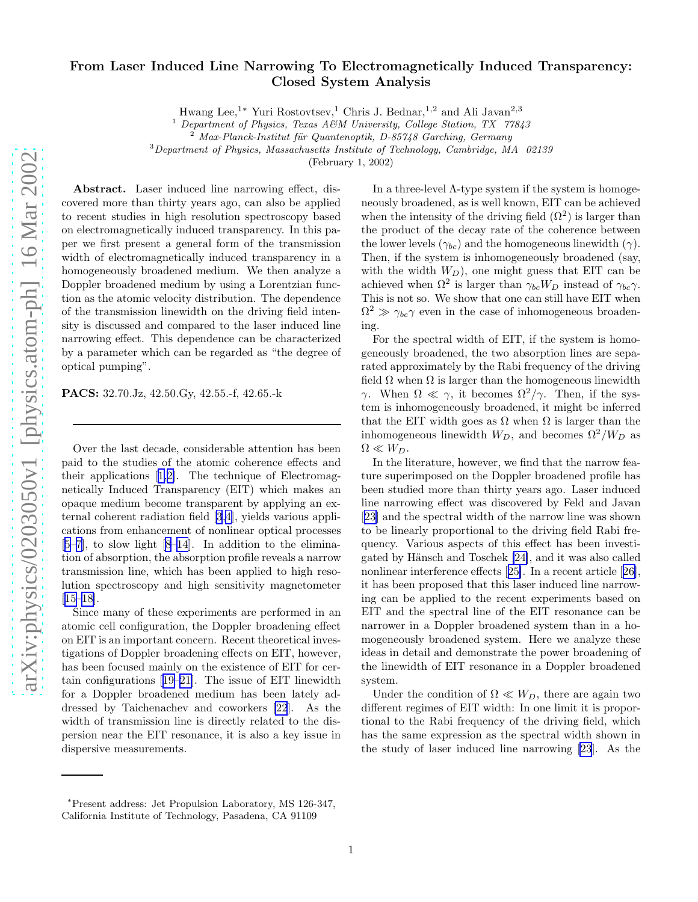# From Laser Induced Line Narrowing To Electromagnetically Induced Transparency: Closed System Analysis

Hwang Lee, $^{1\ast}$  Yuri Rostovtsev, $^{1}$  Chris J. Bednar, $^{1,2}$  and Ali Javan $^{2,3}$ 

<sup>1</sup> Department of Physics, Texas A&M University, College Station, TX  $77843$ 

<sup>2</sup> Max-Planck-Institut für Quantenoptik, D-85748 Garching, Germany

<sup>3</sup>Department of Physics, Massachusetts Institute of Technology, Cambridge, MA 02139

(February 1, 2002)

Abstract. Laser induced line narrowing effect, discovered more than thirty years ago, can also be applied to recent studies in high resolution spectroscopy based on electromagnetically induced transparency. In this paper we first present a general form of the transmission width of electromagnetically induced transparency in a homogeneously broadened medium. We then analyze a Doppler broadened medium by using a Lorentzian function as the atomic velocity distribution. The dependence of the transmission linewidth on the driving field intensity is discussed and compared to the laser induced line narrowing effect. This dependence can be characterized by a parameter which can be regarded as "the degree of optical pumping".

PACS: 32.70.Jz, 42.50.Gy, 42.55.-f, 42.65.-k

Over the last decade, considerable attention has been paid to the studies of the atomic coherence effects and their applications[[1,2\]](#page-7-0). The technique of Electromagnetically Induced Transparency (EIT) which makes an opaque medium become transparent by applying an external coherent radiation field [\[3](#page-7-0),[4](#page-7-0)], yields various applications from enhancement of nonlinear optical processes [[5–7\]](#page-7-0), to slow light [\[8](#page-7-0)[–14](#page-8-0)]. In addition to the elimination of absorption, the absorption profile reveals a narrow transmission line, which has been applied to high resolution spectroscopy and high sensitivity magnetometer [[15–18\]](#page-8-0).

Since many of these experiments are performed in an atomic cell configuration, the Doppler broadening effect on EIT is an important concern. Recent theoretical investigations of Doppler broadening effects on EIT, however, has been focused mainly on the existence of EIT for certain configurations[[19–21\]](#page-8-0). The issue of EIT linewidth for a Doppler broadened medium has been lately addressed by Taichenachev and coworkers [\[22](#page-8-0)]. As the width of transmission line is directly related to the dispersion near the EIT resonance, it is also a key issue in dispersive measurements.

In a three-level  $\Lambda$ -type system if the system is homogeneously broadened, as is well known, EIT can be achieved when the intensity of the driving field  $(\Omega^2)$  is larger than the product of the decay rate of the coherence between the lower levels  $(\gamma_{bc})$  and the homogeneous linewidth  $(\gamma)$ . Then, if the system is inhomogeneously broadened (say, with the width  $W_D$ ), one might guess that EIT can be achieved when  $\Omega^2$  is larger than  $\gamma_{bc}W_D$  instead of  $\gamma_{bc}\gamma$ . This is not so. We show that one can still have EIT when  $\Omega^2 \gg \gamma_{bc} \gamma$  even in the case of inhomogeneous broadening.

For the spectral width of EIT, if the system is homogeneously broadened, the two absorption lines are separated approximately by the Rabi frequency of the driving field  $\Omega$  when  $\Omega$  is larger than the homogeneous linewidth γ. When  $\Omega \ll \gamma$ , it becomes  $\Omega^2/\gamma$ . Then, if the system is inhomogeneously broadened, it might be inferred that the EIT width goes as  $\Omega$  when  $\Omega$  is larger than the inhomogeneous linewidth  $W_D$ , and becomes  $\Omega^2/W_D$  as  $\Omega \ll W_D$ .

In the literature, however, we find that the narrow feature superimposed on the Doppler broadened profile has been studied more than thirty years ago. Laser induced line narrowing effect was discovered by Feld and Javan [[23\]](#page-8-0) and the spectral width of the narrow line was shown to be linearly proportional to the driving field Rabi frequency. Various aspects of this effect has been investi-gated by Hänsch and Toschek [\[24\]](#page-8-0), and it was also called nonlinearinterference effects [[25\]](#page-8-0). In a recent article [[26\]](#page-8-0), it has been proposed that this laser induced line narrowing can be applied to the recent experiments based on EIT and the spectral line of the EIT resonance can be narrower in a Doppler broadened system than in a homogeneously broadened system. Here we analyze these ideas in detail and demonstrate the power broadening of the linewidth of EIT resonance in a Doppler broadened system.

Under the condition of  $\Omega \ll W_D$ , there are again two different regimes of EIT width: In one limit it is proportional to the Rabi frequency of the driving field, which has the same expression as the spectral width shown in the study of laser induced line narrowing [\[23](#page-8-0)]. As the

<sup>∗</sup>Present address: Jet Propulsion Laboratory, MS 126-347, California Institute of Technology, Pasadena, CA 91109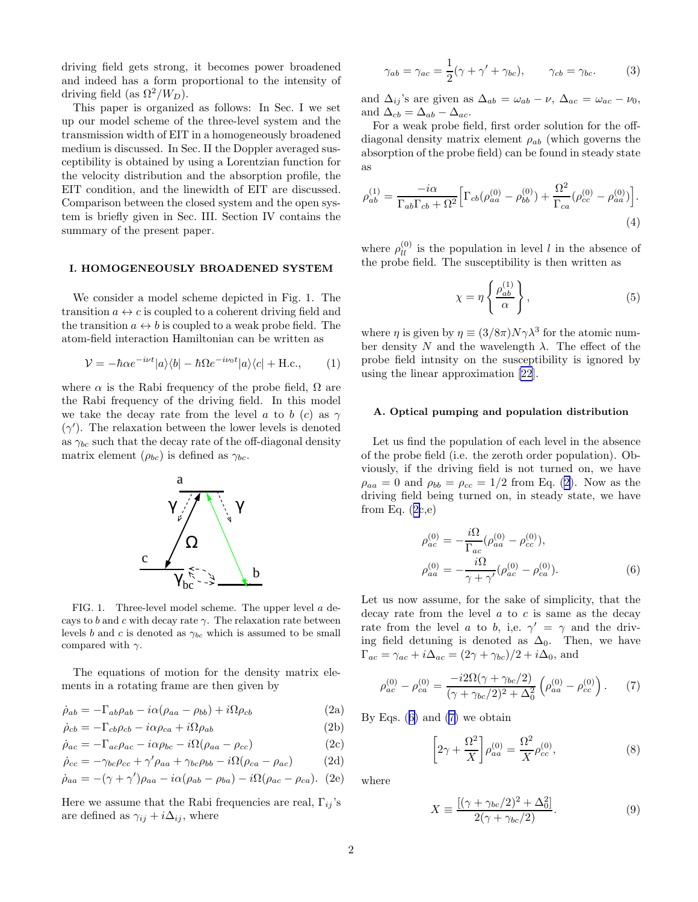<span id="page-2-0"></span>driving field gets strong, it becomes power broadened and indeed has a form proportional to the intensity of driving field (as  $\Omega^2/W_D$ ).

This paper is organized as follows: In Sec. I we set up our model scheme of the three-level system and the transmission width of EIT in a homogeneously broadened medium is discussed. In Sec. II the Doppler averaged susceptibility is obtained by using a Lorentzian function for the velocity distribution and the absorption profile, the EIT condition, and the linewidth of EIT are discussed. Comparison between the closed system and the open system is briefly given in Sec. III. Section IV contains the summary of the present paper.

#### I. HOMOGENEOUSLY BROADENED SYSTEM

We consider a model scheme depicted in Fig. 1. The transition  $a \leftrightarrow c$  is coupled to a coherent driving field and the transition  $a \leftrightarrow b$  is coupled to a weak probe field. The atom-field interaction Hamiltonian can be written as

$$
\mathcal{V} = -\hbar \alpha e^{-i\nu t} |a\rangle\langle b| - \hbar \Omega e^{-i\nu_0 t} |a\rangle\langle c| + \text{H.c.}, \quad (1)
$$

where  $\alpha$  is the Rabi frequency of the probe field,  $\Omega$  are the Rabi frequency of the driving field. In this model we take the decay rate from the level a to b (c) as  $\gamma$  $(\gamma')$ . The relaxation between the lower levels is denoted as  $\gamma_{bc}$  such that the decay rate of the off-diagonal density matrix element  $(\rho_{bc})$  is defined as  $\gamma_{bc}$ .



FIG. 1. Three-level model scheme. The upper level a decays to b and c with decay rate  $\gamma$ . The relaxation rate between levels b and c is denoted as  $\gamma_{bc}$  which is assumed to be small compared with  $\gamma$ .

The equations of motion for the density matrix elements in a rotating frame are then given by

$$
\dot{\rho}_{ab} = -\Gamma_{ab}\rho_{ab} - i\alpha(\rho_{aa} - \rho_{bb}) + i\Omega\rho_{cb}
$$
\n(2a)

$$
\dot{\rho}_{cb} = -\Gamma_{cb}\rho_{cb} - i\alpha\rho_{ca} + i\Omega\rho_{ab} \tag{2b}
$$

$$
\dot{\rho}_{ac} = -\Gamma_{ac}\rho_{ac} - i\alpha\rho_{bc} - i\Omega(\rho_{aa} - \rho_{cc})
$$
\n(2c)

$$
\dot{\rho}_{cc} = -\gamma_{bc}\rho_{cc} + \gamma'\rho_{aa} + \gamma_{bc}\rho_{bb} - i\Omega(\rho_{ca} - \rho_{ac})
$$
 (2d)

$$
\dot{\rho}_{aa} = -(\gamma + \gamma')\rho_{aa} - i\alpha(\rho_{ab} - \rho_{ba}) - i\Omega(\rho_{ac} - \rho_{ca}).
$$
 (2e)

Here we assume that the Rabi frequencies are real,  $\Gamma_{ij}$ 's are defined as  $\gamma_{ij} + i\Delta_{ij}$ , where

$$
\gamma_{ab} = \gamma_{ac} = \frac{1}{2}(\gamma + \gamma' + \gamma_{bc}), \qquad \gamma_{cb} = \gamma_{bc}.
$$
 (3)

and  $\Delta_{ij}$ 's are given as  $\Delta_{ab} = \omega_{ab} - \nu$ ,  $\Delta_{ac} = \omega_{ac} - \nu_0$ , and  $\Delta_{cb} = \Delta_{ab} - \Delta_{ac}$ .

For a weak probe field, first order solution for the offdiagonal density matrix element  $\rho_{ab}$  (which governs the absorption of the probe field) can be found in steady state as

$$
\rho_{ab}^{(1)} = \frac{-i\alpha}{\Gamma_{ab}\Gamma_{cb} + \Omega^2} \Big[ \Gamma_{cb} (\rho_{aa}^{(0)} - \rho_{bb}^{(0)}) + \frac{\Omega^2}{\Gamma_{ca}} (\rho_{cc}^{(0)} - \rho_{aa}^{(0)}) \Big].
$$
\n(4)

where  $\rho_{ll}^{(0)}$  is the population in level l in the absence of the probe field. The susceptibility is then written as

$$
\chi = \eta \left\{ \frac{\rho_{ab}^{(1)}}{\alpha} \right\},\tag{5}
$$

where  $\eta$  is given by  $\eta \equiv (3/8\pi)N\gamma\lambda^3$  for the atomic number density N and the wavelength  $\lambda$ . The effect of the probe field intnsity on the susceptibility is ignored by using the linear approximation [\[22](#page-8-0)].

#### A. Optical pumping and population distribution

Let us find the population of each level in the absence of the probe field (i.e. the zeroth order population). Obviously, if the driving field is not turned on, we have  $\rho_{aa} = 0$  and  $\rho_{bb} = \rho_{cc} = 1/2$  from Eq. (2). Now as the driving field being turned on, in steady state, we have from Eq.  $(2c,e)$ 

$$
\rho_{ac}^{(0)} = -\frac{i\Omega}{\Gamma_{ac}} (\rho_{aa}^{(0)} - \rho_{cc}^{(0)}), \n\rho_{aa}^{(0)} = -\frac{i\Omega}{\gamma + \gamma'} (\rho_{ac}^{(0)} - \rho_{ca}^{(0)}).
$$
\n(6)

Let us now assume, for the sake of simplicity, that the decay rate from the level  $a$  to  $c$  is same as the decay rate from the level a to b, i,e.  $\gamma' = \gamma$  and the driving field detuning is denoted as  $\Delta_0$ . Then, we have  $\Gamma_{ac} = \gamma_{ac} + i\Delta_{ac} = (2\gamma + \gamma_{bc})/2 + i\Delta_0$ , and

$$
\rho_{ac}^{(0)} - \rho_{ca}^{(0)} = \frac{-i2\Omega(\gamma + \gamma_{bc}/2)}{(\gamma + \gamma_{bc}/2)^2 + \Delta_0^2} \left(\rho_{aa}^{(0)} - \rho_{cc}^{(0)}\right). \tag{7}
$$

By Eqs.  $(6)$  and  $(7)$  we obtain

$$
\[2\gamma + \frac{\Omega^2}{X}\] \rho_{aa}^{(0)} = \frac{\Omega^2}{X} \rho_{cc}^{(0)},\tag{8}
$$

where

$$
X \equiv \frac{[(\gamma + \gamma_{bc}/2)^2 + \Delta_0^2]}{2(\gamma + \gamma_{bc}/2)}.
$$
 (9)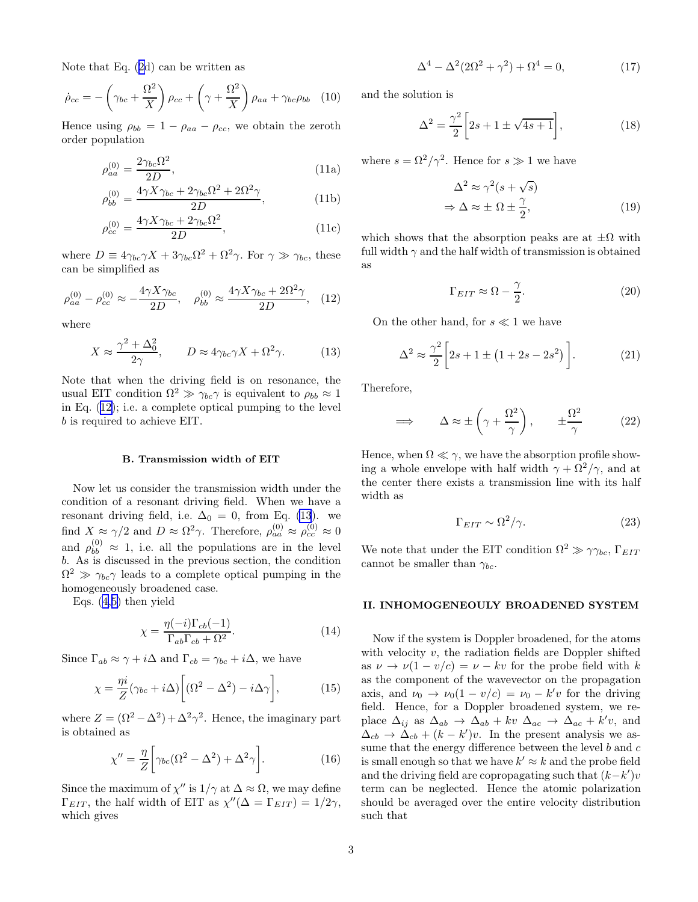<span id="page-3-0"></span>Note that Eq.([2d](#page-2-0)) can be written as

$$
\dot{\rho}_{cc} = -\left(\gamma_{bc} + \frac{\Omega^2}{X}\right)\rho_{cc} + \left(\gamma + \frac{\Omega^2}{X}\right)\rho_{aa} + \gamma_{bc}\rho_{bb} \quad (10)
$$

Hence using  $\rho_{bb} = 1 - \rho_{aa} - \rho_{cc}$ , we obtain the zeroth order population

$$
\rho_{aa}^{(0)} = \frac{2\gamma_{bc}\Omega^2}{2D},\tag{11a}
$$

$$
\rho_{bb}^{(0)} = \frac{4\gamma X \gamma_{bc} + 2\gamma_{bc} \Omega^2 + 2\Omega^2 \gamma}{2D},\tag{11b}
$$

$$
\rho_{cc}^{(0)} = \frac{4\gamma X \gamma_{bc} + 2\gamma_{bc} \Omega^2}{2D},\tag{11c}
$$

where  $D \equiv 4\gamma_{bc}\gamma X + 3\gamma_{bc}\Omega^2 + \Omega^2\gamma$ . For  $\gamma \gg \gamma_{bc}$ , these can be simplified as

$$
\rho_{aa}^{(0)} - \rho_{cc}^{(0)} \approx -\frac{4\gamma X \gamma_{bc}}{2D}, \quad \rho_{bb}^{(0)} \approx \frac{4\gamma X \gamma_{bc} + 2\Omega^2 \gamma}{2D}, \quad (12)
$$

where

$$
X \approx \frac{\gamma^2 + \Delta_0^2}{2\gamma}, \qquad D \approx 4\gamma_{bc}\gamma X + \Omega^2 \gamma. \tag{13}
$$

Note that when the driving field is on resonance, the usual EIT condition  $\Omega^2 \gg \gamma_{bc} \gamma$  is equivalent to  $\rho_{bb} \approx 1$ in Eq. (12); i.e. a complete optical pumping to the level b is required to achieve EIT.

#### B. Transmission width of EIT

Now let us consider the transmission width under the condition of a resonant driving field. When we have a resonant driving field, i.e.  $\Delta_0 = 0$ , from Eq. (13). we find  $X \approx \gamma/2$  and  $D \approx \Omega^2 \gamma$ . Therefore,  $\rho_{aa}^{(0)} \approx \rho_{cc}^{(0)} \approx 0$ and  $\rho_{bb}^{(0)} \approx 1$ , i.e. all the populations are in the level b. As is discussed in the previous section, the condition  $\Omega^2 \gg \gamma_{bc} \gamma$  leads to a complete optical pumping in the homogeneously broadened case.

Eqs.([4,5\)](#page-2-0) then yield

$$
\chi = \frac{\eta(-i)\Gamma_{cb}(-1)}{\Gamma_{ab}\Gamma_{cb} + \Omega^2}.
$$
\n(14)

Since  $\Gamma_{ab} \approx \gamma + i\Delta$  and  $\Gamma_{cb} = \gamma_{bc} + i\Delta$ , we have

$$
\chi = \frac{\eta i}{Z} (\gamma_{bc} + i\Delta) \left[ (\Omega^2 - \Delta^2) - i\Delta \gamma \right],\tag{15}
$$

where  $Z = (\Omega^2 - \Delta^2) + \Delta^2 \gamma^2$ . Hence, the imaginary part is obtained as

$$
\chi'' = \frac{\eta}{Z} \bigg[ \gamma_{bc} (\Omega^2 - \Delta^2) + \Delta^2 \gamma \bigg]. \tag{16}
$$

Since the maximum of  $\chi''$  is  $1/\gamma$  at  $\Delta \approx \Omega$ , we may define  $\Gamma_{EIT}$ , the half width of EIT as  $\chi''(\Delta = \Gamma_{EIT}) = 1/2\gamma$ , which gives

$$
\Delta^{4} - \Delta^{2} (2\Omega^{2} + \gamma^{2}) + \Omega^{4} = 0, \qquad (17)
$$

and the solution is

$$
\Delta^2 = \frac{\gamma^2}{2} \left[ 2s + 1 \pm \sqrt{4s + 1} \right],\tag{18}
$$

where  $s = \Omega^2/\gamma^2$ . Hence for  $s \gg 1$  we have

$$
\Delta^2 \approx \gamma^2 (s + \sqrt{s})
$$
  
\n
$$
\Rightarrow \Delta \approx \pm \Omega \pm \frac{\gamma}{2},
$$
\n(19)

which shows that the absorption peaks are at  $\pm \Omega$  with full width  $\gamma$  and the half width of transmission is obtained as

$$
\Gamma_{EIT} \approx \Omega - \frac{\gamma}{2}.
$$
\n(20)

On the other hand, for  $s \ll 1$  we have

$$
\Delta^2 \approx \frac{\gamma^2}{2} \left[ 2s + 1 \pm \left( 1 + 2s - 2s^2 \right) \right]. \tag{21}
$$

Therefore,

$$
\implies \qquad \Delta \approx \pm \left(\gamma + \frac{\Omega^2}{\gamma}\right), \qquad \pm \frac{\Omega^2}{\gamma} \tag{22}
$$

Hence, when  $\Omega \ll \gamma$ , we have the absorption profile showing a whole envelope with half width  $\gamma + \Omega^2/\gamma$ , and at the center there exists a transmission line with its half width as

$$
\Gamma_{EIT} \sim \Omega^2 / \gamma. \tag{23}
$$

We note that under the EIT condition  $\Omega^2 \gg \gamma \gamma_{bc}$ ,  $\Gamma_{EIT}$ cannot be smaller than  $\gamma_{bc}$ .

#### II. INHOMOGENEOULY BROADENED SYSTEM

Now if the system is Doppler broadened, for the atoms with velocity  $v$ , the radiation fields are Doppler shifted as  $\nu \rightarrow \nu(1 - v/c) = \nu - kv$  for the probe field with k as the component of the wavevector on the propagation axis, and  $\nu_0 \to \nu_0 (1 - v/c) = \nu_0 - k'v$  for the driving field. Hence, for a Doppler broadened system, we replace  $\Delta_{ij}$  as  $\Delta_{ab} \rightarrow \Delta_{ab} + kv \Delta_{ac} \rightarrow \Delta_{ac} + k'v$ , and  $\Delta_{cb} \rightarrow \Delta_{cb} + (k - k')v$ . In the present analysis we assume that the energy difference between the level  $b$  and  $c$ is small enough so that we have  $k' \approx k$  and the probe field and the driving field are copropagating such that  $(k-k')v$ term can be neglected. Hence the atomic polarization should be averaged over the entire velocity distribution such that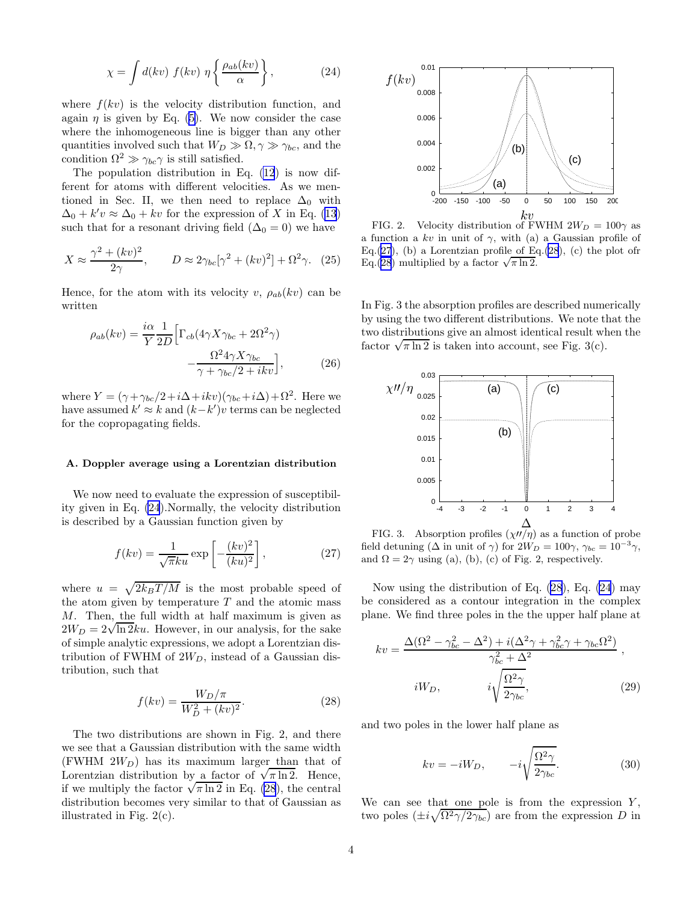$$
\chi = \int d(kv) f(kv) \eta \left\{ \frac{\rho_{ab}(kv)}{\alpha} \right\},\tag{24}
$$

<span id="page-4-0"></span>where  $f(kv)$  is the velocity distribution function, and again $\eta$  is given by Eq. ([5\)](#page-2-0). We now consider the case where the inhomogeneous line is bigger than any other quantities involved such that  $W_D \gg \Omega, \gamma \gg \gamma_{bc}$ , and the condition  $\Omega^2 \gg \gamma_{bc} \gamma$  is still satisfied.

The population distribution in Eq. [\(12](#page-3-0)) is now different for atoms with different velocities. As we mentioned in Sec. II, we then need to replace  $\Delta_0$  with  $\Delta_0 + k'v \approx \Delta_0 + kv$  for the expression of X in Eq. [\(13](#page-3-0)) such that for a resonant driving field  $(\Delta_0 = 0)$  we have

$$
X \approx \frac{\gamma^2 + (kv)^2}{2\gamma}, \qquad D \approx 2\gamma_{bc}[\gamma^2 + (kv)^2] + \Omega^2 \gamma. \tag{25}
$$

Hence, for the atom with its velocity v,  $\rho_{ab}(kv)$  can be written

$$
\rho_{ab}(kv) = \frac{i\alpha}{Y} \frac{1}{2D} \Big[ \Gamma_{cb}(4\gamma X \gamma_{bc} + 2\Omega^2 \gamma) - \frac{\Omega^2 4\gamma X \gamma_{bc}}{\gamma + \gamma_{bc}/2 + ikv} \Big],\tag{26}
$$

where  $Y = (\gamma + \gamma_{bc}/2 + i\Delta + ikv)(\gamma_{bc} + i\Delta) + \Omega^2$ . Here we have assumed  $k' \approx k$  and  $(k-k')v$  terms can be neglected for the copropagating fields.

## A. Doppler average using a Lorentzian distribution

We now need to evaluate the expression of susceptibility given in Eq. (24).Normally, the velocity distribution is described by a Gaussian function given by

$$
f(kv) = \frac{1}{\sqrt{\pi}ku} \exp\left[-\frac{(kv)^2}{(ku)^2}\right],
$$
 (27)

where  $u = \sqrt{2k_BT/M}$  is the most probable speed of the atom given by temperature  $T$  and the atomic mass M. Then, the full width at half maximum is given as  $2W_D = 2\sqrt{\ln 2k}u$ . However, in our analysis, for the sake of simple analytic expressions, we adopt a Lorentzian distribution of FWHM of  $2W_D$ , instead of a Gaussian distribution, such that

$$
f(kv) = \frac{W_D/\pi}{W_D^2 + (kv)^2}.
$$
 (28)

The two distributions are shown in Fig. 2, and there we see that a Gaussian distribution with the same width (FWHM  $2W_D$ ) has its maximum larger than that of Lorentzian distribution by a factor of  $\sqrt{\pi \ln 2}$ . Hence, if we multiply the factor  $\sqrt{\pi \ln 2}$  in Eq. (28), the central distribution becomes very similar to that of Gaussian as illustrated in Fig. 2(c).



FIG. 2. Velocity distribution of FWHM  $2W_D = 100\gamma$  as a function a kv in unit of  $\gamma$ , with (a) a Gaussian profile of Eq.(27), (b) a Lorentzian profile of Eq.(28), (c) the plot ofr  $Eq.(28)$  multiplied by a factor  $\sqrt{\pi \ln 2}$ .

In Fig. 3 the absorption profiles are described numerically by using the two different distributions. We note that the two distributions give an almost identical result when the factor  $\sqrt{\pi \ln 2}$  is taken into account, see Fig. 3(c).



FIG. 3. Absorption profiles  $(\chi \prime\prime/\eta)$  as a function of probe field detuning ( $\Delta$  in unit of  $\gamma$ ) for  $2W_D = 100\gamma$ ,  $\gamma_{bc} = 10^{-3}\gamma$ , and  $\Omega = 2\gamma$  using (a), (b), (c) of Fig. 2, respectively.

Now using the distribution of Eq. (28), Eq. (24) may be considered as a contour integration in the complex plane. We find three poles in the the upper half plane at

$$
kv = \frac{\Delta(\Omega^2 - \gamma_{bc}^2 - \Delta^2) + i(\Delta^2 \gamma + \gamma_{bc}^2 \gamma + \gamma_{bc} \Omega^2)}{\gamma_{bc}^2 + \Delta^2},
$$
  
\n
$$
iW_D, \qquad i\sqrt{\frac{\Omega^2 \gamma}{2\gamma_{bc}}}, \qquad (29)
$$

and two poles in the lower half plane as

$$
kv = -iW_D, \qquad -i\sqrt{\frac{\Omega^2 \gamma}{2\gamma_{bc}}}.\tag{30}
$$

We can see that one pole is from the expression  $Y$ , two poles  $(\pm i \sqrt{\Omega^2 \gamma/2 \gamma_{bc}})$  are from the expression D in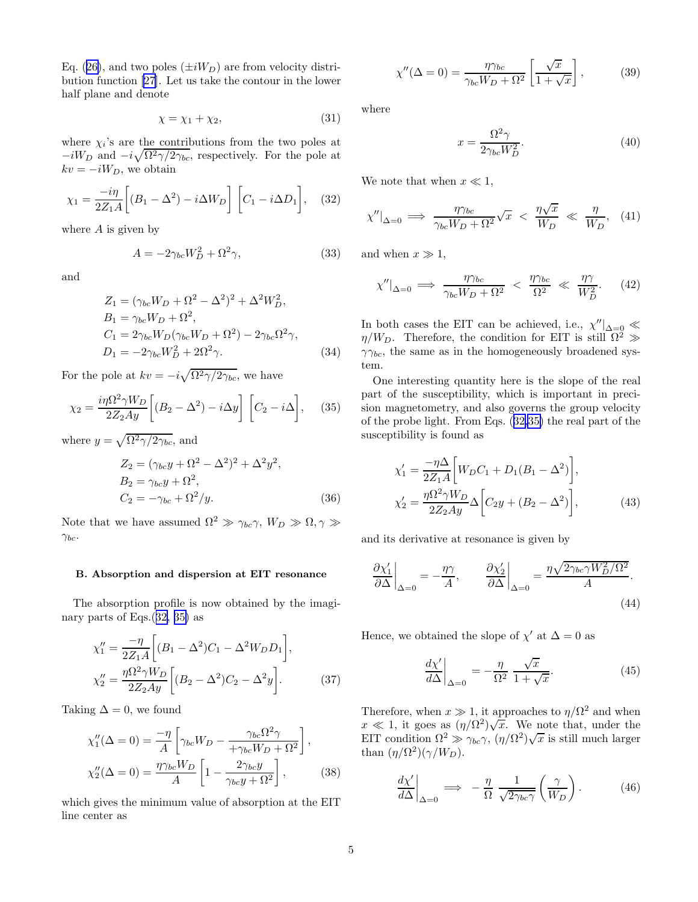<span id="page-5-0"></span>Eq.([26\)](#page-4-0), and two poles  $(\pm iW_D)$  are from velocity distribution function [\[27](#page-8-0)]. Let us take the contour in the lower half plane and denote

$$
\chi = \chi_1 + \chi_2,\tag{31}
$$

where  $\chi_i$ 's are the contributions from the two poles at  $-iW_D$  and  $-i\sqrt{\Omega^2\gamma/2\gamma_{bc}}$ , respectively. For the pole at  $kv = -iW_D$ , we obtain

$$
\chi_1 = \frac{-i\eta}{2Z_1A} \bigg[ (B_1 - \Delta^2) - i\Delta W_D \bigg] \bigg[ C_1 - i\Delta D_1 \bigg], \quad (32)
$$

where  $A$  is given by

$$
A = -2\gamma_{bc}W_D^2 + \Omega^2\gamma,\tag{33}
$$

and

$$
Z_1 = (\gamma_{bc}W_D + \Omega^2 - \Delta^2)^2 + \Delta^2 W_D^2, B_1 = \gamma_{bc}W_D + \Omega^2, C_1 = 2\gamma_{bc}W_D(\gamma_{bc}W_D + \Omega^2) - 2\gamma_{bc}\Omega^2\gamma, D_1 = -2\gamma_{bc}W_D^2 + 2\Omega^2\gamma.
$$
 (34)

For the pole at  $kv = -i\sqrt{\Omega^2 \gamma/2\gamma_{bc}}$ , we have

$$
\chi_2 = \frac{i\eta \Omega^2 \gamma W_D}{2Z_2 Ay} \left[ (B_2 - \Delta^2) - i\Delta y \right] \left[ C_2 - i\Delta \right], \quad (35)
$$

where  $y = \sqrt{\Omega^2 \gamma/2 \gamma_{bc}}$ , and

$$
Z_2 = (\gamma_{bc}y + \Omega^2 - \Delta^2)^2 + \Delta^2 y^2,
$$
  
\n
$$
B_2 = \gamma_{bc}y + \Omega^2,
$$
  
\n
$$
C_2 = -\gamma_{bc} + \Omega^2/y.
$$
\n(36)

Note that we have assumed  $\Omega^2 \gg \gamma_{bc}\gamma$ ,  $W_D \gg \Omega$ ,  $\gamma \gg$  $\gamma_{bc}$ .

#### B. Absorption and dispersion at EIT resonance

The absorption profile is now obtained by the imaginary parts of Eqs.(32, 35) as

$$
\chi_1'' = \frac{-\eta}{2Z_1 A} \left[ (B_1 - \Delta^2) C_1 - \Delta^2 W_D D_1 \right],
$$
  
\n
$$
\chi_2'' = \frac{\eta \Omega^2 \gamma W_D}{2Z_2 Ay} \left[ (B_2 - \Delta^2) C_2 - \Delta^2 y \right].
$$
\n(37)

Taking  $\Delta = 0$ , we found

$$
\chi_1''(\Delta = 0) = \frac{-\eta}{A} \left[ \gamma_{bc} W_D - \frac{\gamma_{bc} \Omega^2 \gamma}{\gamma_{bc} W_D + \Omega^2} \right],
$$
  

$$
\chi_2''(\Delta = 0) = \frac{\eta \gamma_{bc} W_D}{A} \left[ 1 - \frac{2 \gamma_{bc} y}{\gamma_{bc} y + \Omega^2} \right],
$$
(38)

which gives the minimum value of absorption at the EIT line center as

$$
\chi''(\Delta = 0) = \frac{\eta \gamma_{bc}}{\gamma_{bc} W_D + \Omega^2} \left[ \frac{\sqrt{x}}{1 + \sqrt{x}} \right],\tag{39}
$$

where

$$
x = \frac{\Omega^2 \gamma}{2\gamma_{bc} W_D^2}.\tag{40}
$$

We note that when  $x \ll 1$ ,

$$
\chi''|_{\Delta=0} \implies \frac{\eta \gamma_{bc}}{\gamma_{bc} W_D + \Omega^2} \sqrt{x} < \frac{\eta \sqrt{x}}{W_D} \ll \frac{\eta}{W_D}, \quad (41)
$$

and when  $x \gg 1$ ,

$$
\chi''|_{\Delta=0} \implies \frac{\eta \gamma_{bc}}{\gamma_{bc} W_D + \Omega^2} < \frac{\eta \gamma_{bc}}{\Omega^2} \ll \frac{\eta \gamma}{W_D^2}.\tag{42}
$$

In both cases the EIT can be achieved, i.e.,  $\chi''|_{\Delta=0} \ll$  $\eta/W_D$ . Therefore, the condition for EIT is still  $\Omega^2 \gg$  $\gamma\gamma_{bc}$ , the same as in the homogeneously broadened system.

One interesting quantity here is the slope of the real part of the susceptibility, which is important in precision magnetometry, and also governs the group velocity of the probe light. From Eqs. (32,35) the real part of the susceptibility is found as

$$
\chi_1' = \frac{-\eta \Delta}{2Z_1 A} \bigg[ W_D C_1 + D_1 (B_1 - \Delta^2) \bigg],
$$
  
\n
$$
\chi_2' = \frac{\eta \Omega^2 \gamma W_D}{2Z_2 Ay} \Delta \bigg[ C_2 y + (B_2 - \Delta^2) \bigg],
$$
\n(43)

and its derivative at resonance is given by

$$
\left. \frac{\partial \chi_1'}{\partial \Delta} \right|_{\Delta=0} = -\frac{\eta \gamma}{A}, \qquad \left. \frac{\partial \chi_2'}{\partial \Delta} \right|_{\Delta=0} = \frac{\eta \sqrt{2\gamma_{bc} \gamma W_D^2 / \Omega^2}}{A}.
$$
\n(44)

Hence, we obtained the slope of  $\chi'$  at  $\Delta = 0$  as

$$
\left. \frac{d\chi'}{d\Delta} \right|_{\Delta=0} = -\frac{\eta}{\Omega^2} \frac{\sqrt{x}}{1+\sqrt{x}}.
$$
\n(45)

Therefore, when  $x \gg 1$ , it approaches to  $\eta/\Omega^2$  and when  $x \ll 1$ , it goes as  $(\eta/\Omega^2)\sqrt{x}$ . We note that, under the EIT condition  $\Omega^2 \gg \gamma_{bc}\gamma$ ,  $(\eta/\Omega^2)\sqrt{x}$  is still much larger than  $(\eta/\Omega^2)(\gamma/W_D)$ .

$$
\left. \frac{d\chi'}{d\Delta} \right|_{\Delta=0} \implies -\frac{\eta}{\Omega} \frac{1}{\sqrt{2\gamma_{bc}\gamma}} \left( \frac{\gamma}{W_D} \right). \tag{46}
$$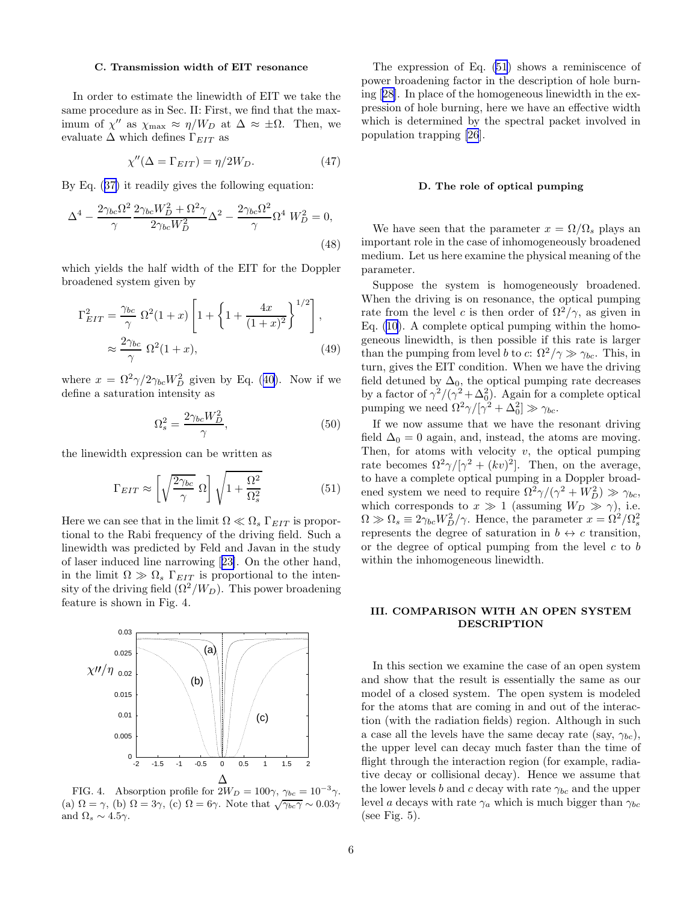#### C. Transmission width of EIT resonance

In order to estimate the linewidth of EIT we take the same procedure as in Sec. II: First, we find that the maximum of  $\chi''$  as  $\chi_{\text{max}} \approx \eta/W_D$  at  $\Delta \approx \pm \Omega$ . Then, we evaluate  $\Delta$  which defines  $\Gamma_{EIT}$  as

$$
\chi''(\Delta = \Gamma_{EIT}) = \eta/2W_D. \tag{47}
$$

By Eq.([37\)](#page-5-0) it readily gives the following equation:

$$
\Delta^4 - \frac{2\gamma_{bc}\Omega^2}{\gamma} \frac{2\gamma_{bc}W_D^2 + \Omega^2\gamma}{2\gamma_{bc}W_D^2} \Delta^2 - \frac{2\gamma_{bc}\Omega^2}{\gamma}\Omega^4 W_D^2 = 0,
$$
\n(48)

which yields the half width of the EIT for the Doppler broadened system given by

$$
\Gamma_{EIT}^2 = \frac{\gamma_{bc}}{\gamma} \ \Omega^2 (1+x) \left[ 1 + \left\{ 1 + \frac{4x}{(1+x)^2} \right\}^{1/2} \right],
$$
\n
$$
\approx \frac{2\gamma_{bc}}{\gamma} \ \Omega^2 (1+x), \tag{49}
$$

where $x = \Omega^2 \gamma / 2 \gamma_{bc} W_D^2$  given by Eq. ([40\)](#page-5-0). Now if we define a saturation intensity as

$$
\Omega_s^2 = \frac{2\gamma_{bc}W_D^2}{\gamma},\tag{50}
$$

the linewidth expression can be written as

$$
\Gamma_{EIT} \approx \left[ \sqrt{\frac{2\gamma_{bc}}{\gamma}} \ \Omega \right] \sqrt{1 + \frac{\Omega^2}{\Omega_s^2}} \tag{51}
$$

Here we can see that in the limit  $\Omega \ll \Omega_s \Gamma_{EIT}$  is proportional to the Rabi frequency of the driving field. Such a linewidth was predicted by Feld and Javan in the study of laser induced line narrowing[[23\]](#page-8-0). On the other hand, in the limit  $\Omega \gg \Omega_s \Gamma_{EIT}$  is proportional to the intensity of the driving field  $(\Omega^2/W_D)$ . This power broadening feature is shown in Fig. 4.



FIG. 4. Absorption profile for  $2W_D = 100\gamma$ ,  $\gamma_{bc} = 10^{-3}\gamma$ . (a)  $\Omega = \gamma$ , (b)  $\Omega = 3\gamma$ , (c)  $\Omega = 6\gamma$ . Note that  $\sqrt{\gamma_{bc}\gamma} \sim 0.03\gamma$ and  $\Omega_s \sim 4.5\gamma$ .

The expression of Eq. (51) shows a reminiscence of power broadening factor in the description of hole burning[[28\]](#page-8-0). In place of the homogeneous linewidth in the expression of hole burning, here we have an effective width which is determined by the spectral packet involved in population trapping [\[26](#page-8-0)].

## D. The role of optical pumping

We have seen that the parameter  $x = \Omega/\Omega_s$  plays an important role in the case of inhomogeneously broadened medium. Let us here examine the physical meaning of the parameter.

Suppose the system is homogeneously broadened. When the driving is on resonance, the optical pumping rate from the level c is then order of  $\Omega^2/\gamma$ , as given in Eq. [\(10](#page-3-0)). A complete optical pumping within the homogeneous linewidth, is then possible if this rate is larger than the pumping from level b to c:  $\Omega^2/\gamma \gg \gamma_{bc}$ . This, in turn, gives the EIT condition. When we have the driving field detuned by  $\Delta_0$ , the optical pumping rate decreases by a factor of  $\gamma^2/(\gamma^2 + \Delta_0^2)$ . Again for a complete optical pumping we need  $\Omega^2 \gamma / [\gamma^2 + \Delta_0^2] \gg \gamma_{bc}$ .

If we now assume that we have the resonant driving field  $\Delta_0 = 0$  again, and, instead, the atoms are moving. Then, for atoms with velocity  $v$ , the optical pumping rate becomes  $\Omega^2 \gamma / [\gamma^2 + (kv)^2]$ . Then, on the average, to have a complete optical pumping in a Doppler broadened system we need to require  $\Omega^2 \gamma / (\gamma^2 + W_D^2) \gg \gamma_{bc}$ , which corresponds to  $x \gg 1$  (assuming  $W_D \gg \gamma$ ), i.e.  $\Omega \gg \Omega_s \equiv 2\gamma_{bc}W_D^2/\gamma$ . Hence, the parameter  $x = \Omega^2/\Omega_s^2$ represents the degree of saturation in  $b \leftrightarrow c$  transition, or the degree of optical pumping from the level  $c$  to  $b$ within the inhomogeneous linewidth.

## III. COMPARISON WITH AN OPEN SYSTEM DESCRIPTION

In this section we examine the case of an open system and show that the result is essentially the same as our model of a closed system. The open system is modeled for the atoms that are coming in and out of the interaction (with the radiation fields) region. Although in such a case all the levels have the same decay rate (say,  $\gamma_{bc}$ ), the upper level can decay much faster than the time of flight through the interaction region (for example, radiative decay or collisional decay). Hence we assume that the lower levels b and c decay with rate  $\gamma_{bc}$  and the upper level a decays with rate  $\gamma_a$  which is much bigger than  $\gamma_{bc}$ (see Fig.  $5$ ).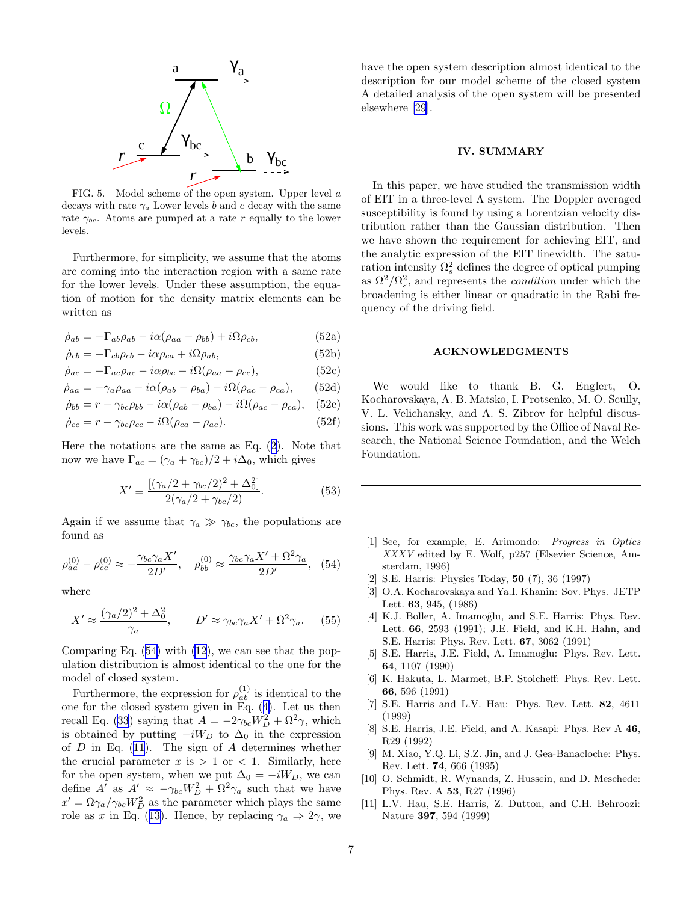<span id="page-7-0"></span>

FIG. 5. Model scheme of the open system. Upper level a decays with rate  $\gamma_a$  Lower levels b and c decay with the same rate  $\gamma_{bc}$ . Atoms are pumped at a rate r equally to the lower levels.

Furthermore, for simplicity, we assume that the atoms are coming into the interaction region with a same rate for the lower levels. Under these assumption, the equation of motion for the density matrix elements can be written as

$$
\dot{\rho}_{ab} = -\Gamma_{ab}\rho_{ab} - i\alpha(\rho_{aa} - \rho_{bb}) + i\Omega\rho_{cb},\tag{52a}
$$

$$
\dot{\rho}_{cb} = -\Gamma_{cb}\rho_{cb} - i\alpha\rho_{ca} + i\Omega\rho_{ab},\tag{52b}
$$

$$
\dot{\rho}_{ac} = -\Gamma_{ac}\rho_{ac} - i\alpha\rho_{bc} - i\Omega(\rho_{aa} - \rho_{cc}),\tag{52c}
$$

$$
\dot{\rho}_{aa} = -\gamma_a \rho_{aa} - i\alpha(\rho_{ab} - \rho_{ba}) - i\Omega(\rho_{ac} - \rho_{ca}), \qquad (52d)
$$

$$
\dot{\rho}_{bb} = r - \gamma_{bc}\rho_{bb} - i\alpha(\rho_{ab} - \rho_{ba}) - i\Omega(\rho_{ac} - \rho_{ca}), \quad (52e)
$$

$$
\dot{\rho}_{cc} = r - \gamma_{bc}\rho_{cc} - i\Omega(\rho_{ca} - \rho_{ac}).\tag{52f}
$$

Here the notations are the same as Eq.([2\)](#page-2-0). Note that now we have  $\Gamma_{ac} = (\gamma_a + \gamma_{bc})/2 + i\Delta_0$ , which gives

$$
X' \equiv \frac{\left[ (\gamma_a/2 + \gamma_{bc}/2)^2 + \Delta_0^2 \right]}{2(\gamma_a/2 + \gamma_{bc}/2)}.
$$
 (53)

Again if we assume that  $\gamma_a \gg \gamma_{bc}$ , the populations are found as

$$
\rho_{aa}^{(0)} - \rho_{cc}^{(0)} \approx -\frac{\gamma_{bc}\gamma_a X'}{2D'}, \quad \rho_{bb}^{(0)} \approx \frac{\gamma_{bc}\gamma_a X' + \Omega^2 \gamma_a}{2D'}, \quad (54)
$$

where

$$
X' \approx \frac{(\gamma_a/2)^2 + \Delta_0^2}{\gamma_a}, \qquad D' \approx \gamma_{bc}\gamma_a X' + \Omega^2 \gamma_a. \tag{55}
$$

Comparing Eq. (54) with [\(12](#page-3-0)), we can see that the population distribution is almost identical to the one for the model of closed system.

Furthermore, the expression for  $\rho_{ab}^{(1)}$  is identical to the one for the closed system given in Eq.([4\)](#page-2-0). Let us then recall Eq. [\(33](#page-5-0)) saying that  $A = -2\gamma_{bc}W_D^2 + \Omega^2\gamma$ , which is obtained by putting  $-iW_D$  to  $\Delta_0$  in the expression of  $D$  in Eq. [\(11](#page-3-0)). The sign of  $A$  determines whether the crucial parameter  $x$  is  $> 1$  or  $< 1$ . Similarly, here for the open system, when we put  $\Delta_0 = -iW_D$ , we can define  $A'$  as  $A' \approx -\gamma_{bc}W_D^2 + \Omega^2 \gamma_a$  such that we have  $x' = \Omega \gamma_a / \gamma_{bc} W_D^2$  as the parameter which plays the same roleas x in Eq. ([13\)](#page-3-0). Hence, by replacing  $\gamma_a \Rightarrow 2\gamma$ , we have the open system description almost identical to the description for our model scheme of the closed system A detailed analysis of the open system will be presented elsewhere [\[29](#page-8-0)].

## IV. SUMMARY

In this paper, we have studied the transmission width of EIT in a three-level  $\Lambda$  system. The Doppler averaged susceptibility is found by using a Lorentzian velocity distribution rather than the Gaussian distribution. Then we have shown the requirement for achieving EIT, and the analytic expression of the EIT linewidth. The saturation intensity  $\Omega_s^2$  defines the degree of optical pumping as  $\Omega^2/\Omega_s^2$ , and represents the *condition* under which the broadening is either linear or quadratic in the Rabi frequency of the driving field.

#### ACKNOWLEDGMENTS

We would like to thank B. G. Englert, O. Kocharovskaya, A. B. Matsko, I. Protsenko, M. O. Scully, V. L. Velichansky, and A. S. Zibrov for helpful discussions. This work was supported by the Office of Naval Research, the National Science Foundation, and the Welch Foundation.

- [1] See, for example, E. Arimondo: Progress in Optics XXXV edited by E. Wolf, p257 (Elsevier Science, Amsterdam, 1996)
- [2] S.E. Harris: Physics Today, 50 (7), 36 (1997)
- [3] O.A. Kocharovskaya and Ya.I. Khanin: Sov. Phys. JETP Lett. 63, 945, (1986)
- [4] K.J. Boller, A. Imamoğlu, and S.E. Harris: Phys. Rev. Lett. 66, 2593 (1991); J.E. Field, and K.H. Hahn, and S.E. Harris: Phys. Rev. Lett. 67, 3062 (1991)
- [5] S.E. Harris, J.E. Field, A. Imamoğlu: Phys. Rev. Lett. 64, 1107 (1990)
- [6] K. Hakuta, L. Marmet, B.P. Stoicheff: Phys. Rev. Lett. 66, 596 (1991)
- [7] S.E. Harris and L.V. Hau: Phys. Rev. Lett. 82, 4611 (1999)
- [8] S.E. Harris, J.E. Field, and A. Kasapi: Phys. Rev A 46, R29 (1992)
- [9] M. Xiao, Y.Q. Li, S.Z. Jin, and J. Gea-Banacloche: Phys. Rev. Lett. 74, 666 (1995)
- [10] O. Schmidt, R. Wynands, Z. Hussein, and D. Meschede: Phys. Rev. A 53, R27 (1996)
- [11] L.V. Hau, S.E. Harris, Z. Dutton, and C.H. Behroozi: Nature 397, 594 (1999)